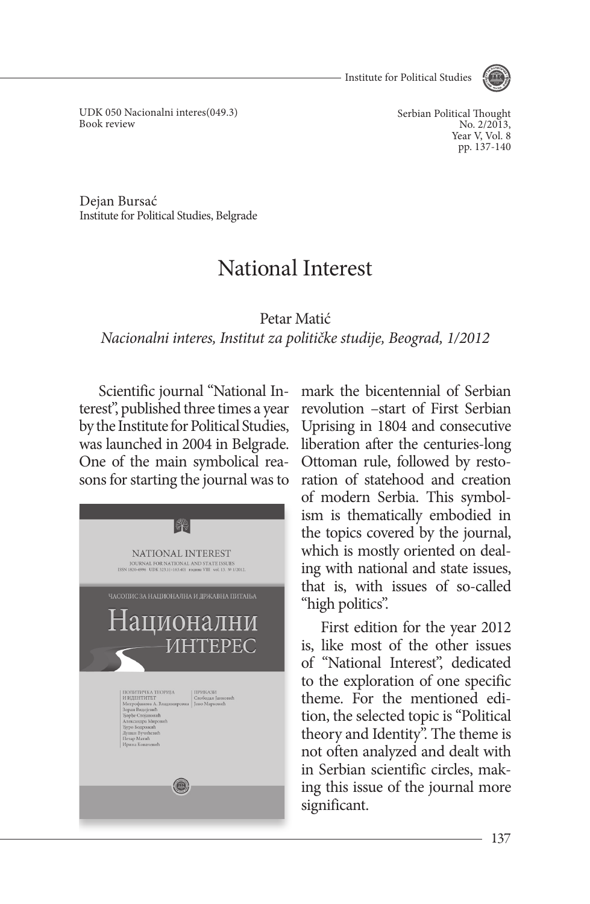Institute for Political Studies



UDK 050 Nacionalni interes(049.3) Book review

Serbian Political Thought No. 2/2013. Year V, Vol. 8 pp. 137-140

Dejan Bursać Institute for Political Studies, Belgrade

## National Interest

Petar Matić

*Nacionalni interes, Institut za političke studije, Beograd, 1/2012*

Scientific journal "National Interest", published three times a year by the Institute for Political Studies, was launched in 2004 in Belgrade. One of the main symbolical reasons for starting the journal was to



mark the bicentennial of Serbian revolution –start of First Serbian Uprising in 1804 and consecutive liberation after the centuries-long Ottoman rule, followed by restoration of statehood and creation of modern Serbia. This symbolism is thematically embodied in the topics covered by the journal, which is mostly oriented on dealing with national and state issues, that is, with issues of so-called "high politics".

First edition for the year 2012 is, like most of the other issues of "National Interest", dedicated to the exploration of one specific theme. For the mentioned edition, the selected topic is "Political theory and Identity". The theme is not often analyzed and dealt with in Serbian scientific circles, making this issue of the journal more significant.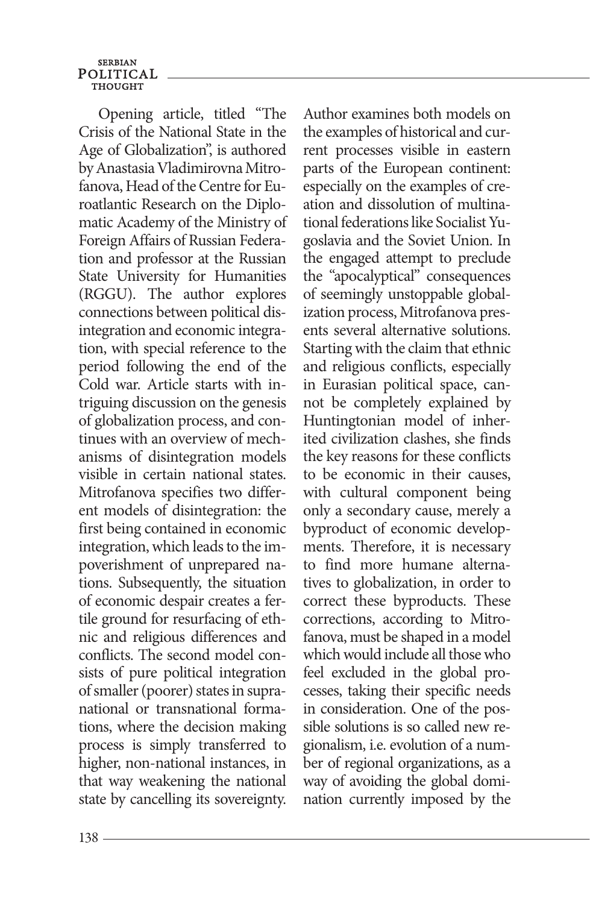**SERBIAN** POLITICAL **THOUGHT** 

Opening article, titled "The Crisis of the National State in the Age of Globalization", is authored by Anastasia Vladimirovna Mitrofanova, Head of the Centre for Euroatlantic Research on the Diplomatic Academy of the Ministry of Foreign Affairs of Russian Federation and professor at the Russian State University for Humanities (RGGU). The author explores connections between political disintegration and economic integration, with special reference to the period following the end of the Cold war. Article starts with intriguing discussion on the genesis of globalization process, and continues with an overview of mechanisms of disintegration models visible in certain national states. Mitrofanova specifies two different models of disintegration: the first being contained in economic integration, which leads to the impoverishment of unprepared nations. Subsequently, the situation of economic despair creates a fertile ground for resurfacing of ethnic and religious differences and conflicts. The second model consists of pure political integration of smaller (poorer) states in supranational or transnational formations, where the decision making process is simply transferred to higher, non-national instances, in that way weakening the national state by cancelling its sovereignty.

Author examines both models on the examples of historical and current processes visible in eastern parts of the European continent: especially on the examples of creation and dissolution of multinational federations like Socialist Yugoslavia and the Soviet Union. In the engaged attempt to preclude the "apocalyptical" consequences of seemingly unstoppable globalization process, Mitrofanova presents several alternative solutions. Starting with the claim that ethnic and religious conflicts, especially in Eurasian political space, cannot be completely explained by Huntingtonian model of inherited civilization clashes, she finds the key reasons for these conflicts to be economic in their causes, with cultural component being only a secondary cause, merely a byproduct of economic developments. Therefore, it is necessary to find more humane alternatives to globalization, in order to correct these byproducts. These corrections, according to Mitrofanova, must be shaped in a model which would include all those who feel excluded in the global processes, taking their specific needs in consideration. One of the possible solutions is so called new regionalism, i.e. evolution of a number of regional organizations, as a way of avoiding the global domination currently imposed by the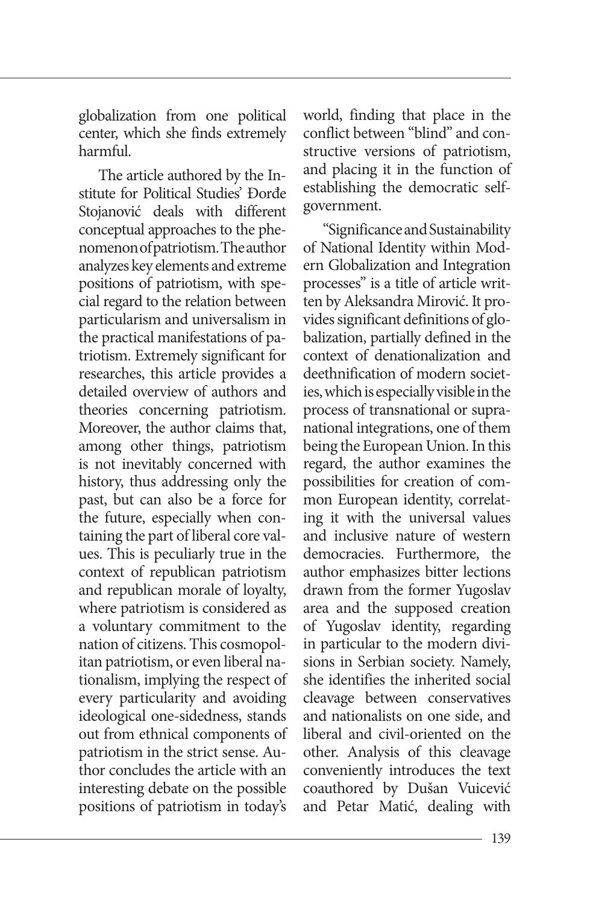globalization from one political center, which she finds extremely harmful.

The article authored by the Institute for Political Studies' Đorđe Stojanović deals with different conceptual approaches to the phenomenon of patriotism. The author analyzes key elements and extreme positions of patriotism, with special regard to the relation between particularism and universalism in the practical manifestations of patriotism. Extremely significant for researches, this article provides a detailed overview of authors and theories concerning patriotism. Moreover, the author claims that, among other things, patriotism is not inevitably concerned with history, thus addressing only the past, but can also be a force for the future, especially when containing the part of liberal core values. This is peculiarly true in the context of republican patriotism and republican morale of loyalty, where patriotism is considered as a voluntary commitment to the nation of citizens. This cosmopolitan patriotism, or even liberal nationalism, implying the respect of every particularity and avoiding ideological one-sidedness, stands out from ethnical components of patriotism in the strict sense. Author concludes the article with an interesting debate on the possible positions of patriotism in today's

world, finding that place in the conflict between "blind" and constructive versions of patriotism, and placing it in the function of establishing the democratic selfgovernment.

"Significance and Sustainability of National Identity within Modern Globalization and Integration processes" is a title of article written by Aleksandra Mirović. It provides significant definitions of globalization, partially defined in the context of denationalization and deethnification of modern societies, which is especially visible in the process of transnational or supranational integrations, one of them being the European Union. In this regard, the author examines the possibilities for creation of common European identity, correlating it with the universal values and inclusive nature of western democracies. Furthermore, the author emphasizes bitter lections drawn from the former Yugoslav area and the supposed creation of Yugoslav identity, regarding in particular to the modern divisions in Serbian society. Namely, she identifies the inherited social cleavage between conservatives and nationalists on one side, and liberal and civil-oriented on the other. Analysis of this cleavage conveniently introduces the text coauthored by Dušan Vuicević and Petar Matić, dealing with